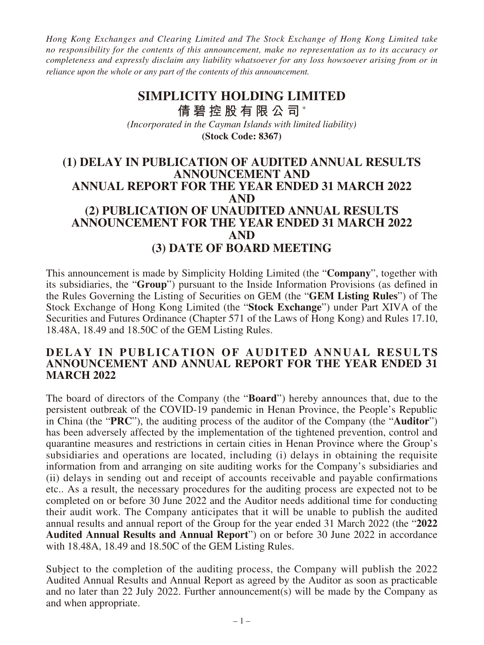*Hong Kong Exchanges and Clearing Limited and The Stock Exchange of Hong Kong Limited take no responsibility for the contents of this announcement, make no representation as to its accuracy or completeness and expressly disclaim any liability whatsoever for any loss howsoever arising from or in reliance upon the whole or any part of the contents of this announcement.*

# **(Stock Code: 8367) SIMPLICITY HOLDING LIMITED 倩碧控股有限公司** \* *(Incorporated in the Cayman Islands with limited liability)*

## **(1) DELAY IN PUBLICATION OF AUDITED ANNUAL RESULTS ANNOUNCEMENT AND ANNUAL REPORT FOR THE YEAR ENDED 31 MARCH 2022 AND (2) PUBLICATION OF UNAUDITED ANNUAL RESULTS ANNOUNCEMENT FOR THE YEAR ENDED 31 MARCH 2022 AND (3) DATE OF BOARD MEETING**

This announcement is made by Simplicity Holding Limited (the "**Company**", together with its subsidiaries, the "**Group**") pursuant to the Inside Information Provisions (as defined in the Rules Governing the Listing of Securities on GEM (the "**GEM Listing Rules**") of The Stock Exchange of Hong Kong Limited (the "**Stock Exchange**") under Part XIVA of the Securities and Futures Ordinance (Chapter 571 of the Laws of Hong Kong) and Rules 17.10, 18.48A, 18.49 and 18.50C of the GEM Listing Rules.

#### **DELAY IN PUBLICATION OF AUDITED ANNUAL RESULTS ANNOUNCEMENT AND ANNUAL REPORT FOR THE YEAR ENDED 31 MARCH 2022**

The board of directors of the Company (the "**Board**") hereby announces that, due to the persistent outbreak of the COVID-19 pandemic in Henan Province, the People's Republic in China (the "**PRC**"), the auditing process of the auditor of the Company (the "**Auditor**") has been adversely affected by the implementation of the tightened prevention, control and quarantine measures and restrictions in certain cities in Henan Province where the Group's subsidiaries and operations are located, including (i) delays in obtaining the requisite information from and arranging on site auditing works for the Company's subsidiaries and (ii) delays in sending out and receipt of accounts receivable and payable confirmations etc.. As a result, the necessary procedures for the auditing process are expected not to be completed on or before 30 June 2022 and the Auditor needs additional time for conducting their audit work. The Company anticipates that it will be unable to publish the audited annual results and annual report of the Group for the year ended 31 March 2022 (the "**2022 Audited Annual Results and Annual Report**") on or before 30 June 2022 in accordance with 18.48A, 18.49 and 18.50C of the GEM Listing Rules.

Subject to the completion of the auditing process, the Company will publish the 2022 Audited Annual Results and Annual Report as agreed by the Auditor as soon as practicable and no later than 22 July 2022. Further announcement(s) will be made by the Company as and when appropriate.